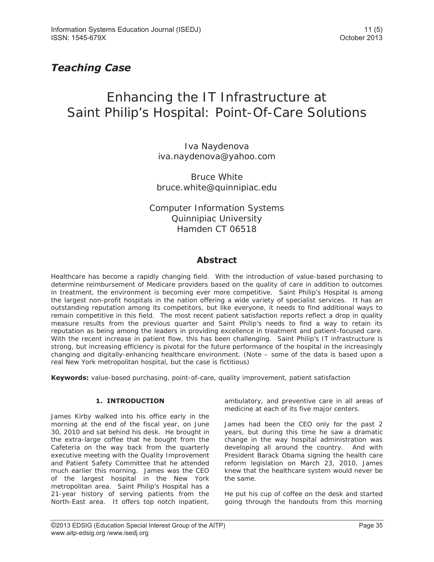# *Teaching Case*

# Enhancing the IT Infrastructure at Saint Philip's Hospital: Point-Of-Care Solutions

Iva Naydenova iva.naydenova@yahoo.com

Bruce White bruce.white@quinnipiac.edu

Computer Information Systems Quinnipiac University Hamden CT 06518

### **Abstract**

Healthcare has become a rapidly changing field. With the introduction of value-based purchasing to determine reimbursement of Medicare providers based on the quality of care in addition to outcomes in treatment, the environment is becoming ever more competitive. Saint Philip's Hospital is among the largest non-profit hospitals in the nation offering a wide variety of specialist services. It has an outstanding reputation among its competitors, but like everyone, it needs to find additional ways to remain competitive in this field. The most recent patient satisfaction reports reflect a drop in quality measure results from the previous quarter and Saint Philip's needs to find a way to retain its reputation as being among the leaders in providing excellence in treatment and patient-focused care. With the recent increase in patient flow, this has been challenging. Saint Philip's IT infrastructure is strong, but increasing efficiency is pivotal for the future performance of the hospital in the increasingly changing and digitally-enhancing healthcare environment. (Note – some of the data is based upon a real New York metropolitan hospital, but the case is fictitious)

**Keywords:** value-based purchasing, point-of-care, quality improvement, patient satisfaction

#### **1. INTRODUCTION**

James Kirby walked into his office early in the morning at the end of the fiscal year, on June 30, 2010 and sat behind his desk. He brought in the extra-large coffee that he bought from the Cafeteria on the way back from the quarterly executive meeting with the Quality Improvement and Patient Safety Committee that he attended much earlier this morning. James was the CEO of the largest hospital in the New York metropolitan area. Saint Philip's Hospital has a 21-year history of serving patients from the North-East area. It offers top notch inpatient, ambulatory, and preventive care in all areas of medicine at each of its five major centers.

James had been the CEO only for the past 2 years, but during this time he saw a dramatic change in the way hospital administration was developing all around the country. And with President Barack Obama signing the health care reform legislation on March 23, 2010, James knew that the healthcare system would never be the same.

He put his cup of coffee on the desk and started going through the handouts from this morning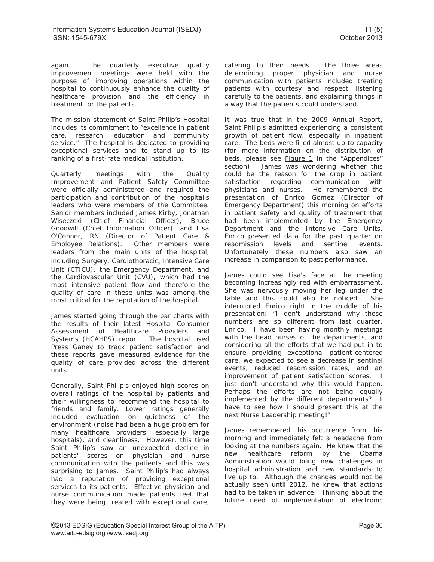again. The quarterly executive quality improvement meetings were held with the purpose of improving operations within the hospital to continuously enhance the quality of healthcare provision and the efficiency in treatment for the patients.

The mission statement of Saint Philip's Hospital includes its commitment to "excellence in patient care, research, education and community service." The hospital is dedicated to providing exceptional services and to stand up to its ranking of a first-rate medical institution.

Quarterly meetings with the Quality Improvement and Patient Safety Committee were officially administered and required the participation and contribution of the hospital's leaders who were members of the Committee. Senior members included James Kirby, Jonathan Wiseczcki (Chief Financial Officer), Bruce Goodwill (Chief Information Officer), and Lisa O'Connor, RN (Director of Patient Care & Employee Relations). Other members were leaders from the main units of the hospital, including Surgery, Cardiothoracic, Intensive Care Unit (CTICU), the Emergency Department, and the Cardiovascular Unit (CVU), which had the most intensive patient flow and therefore the quality of care in these units was among the most critical for the reputation of the hospital.

James started going through the bar charts with the results of their latest Hospital Consumer Assessment of Healthcare Providers and Systems (HCAHPS) report. The hospital used Press Ganey to track patient satisfaction and these reports gave measured evidence for the quality of care provided across the different units.

Generally, Saint Philip's enjoyed high scores on overall ratings of the hospital by patients and their willingness to recommend the hospital to friends and family. Lower ratings generally included evaluation on quietness of the environment (noise had been a huge problem for many healthcare providers, especially large hospitals), and cleanliness. However, this time Saint Philip's saw an unexpected decline in patients' scores on physician and nurse communication with the patients and this was surprising to James. Saint Philip's had always had a reputation of providing exceptional services to its patients. Effective physician and nurse communication made patients feel that they were being treated with exceptional care,

catering to their needs. The three areas determining proper physician and nurse communication with patients included treating patients with courtesy and respect, listening carefully to the patients, and explaining things in a way that the patients could understand.

It was true that in the 2009 Annual Report, Saint Philip's admitted experiencing a consistent growth of patient flow, especially in inpatient care. The beds were filled almost up to capacity (for more information on the distribution of beds, please see **Figure 1** in the "Appendices" section). James was wondering whether this could be the reason for the drop in patient satisfaction regarding communication with physicians and nurses. He remembered the presentation of Enrico Gomez (Director of Emergency Department) this morning on efforts in patient safety and quality of treatment that had been implemented by the Emergency Department and the Intensive Care Units. Enrico presented data for the past quarter on readmission levels and sentinel events. Unfortunately these numbers also saw an increase in comparison to past performance.

James could see Lisa's face at the meeting becoming increasingly red with embarrassment. She was nervously moving her leg under the table and this could also be noticed. She interrupted Enrico right in the middle of his presentation: "I don't understand why those numbers are so different from last quarter, Enrico. I have been having monthly meetings with the head nurses of the departments, and considering all the efforts that we had put in to ensure providing exceptional patient-centered care, we expected to see a decrease in sentinel events, reduced readmission rates, and an improvement of patient satisfaction scores. I just don't understand why this would happen. Perhaps the efforts are not being equally implemented by the different departments? I have to see how I should present this at the next Nurse Leadership meeting!"

James remembered this occurrence from this morning and immediately felt a headache from looking at the numbers again. He knew that the new healthcare reform by the Obama Administration would bring new challenges in hospital administration and new standards to live up to. Although the changes would not be actually seen until 2012, he knew that actions had to be taken in advance. Thinking about the future need of implementation of electronic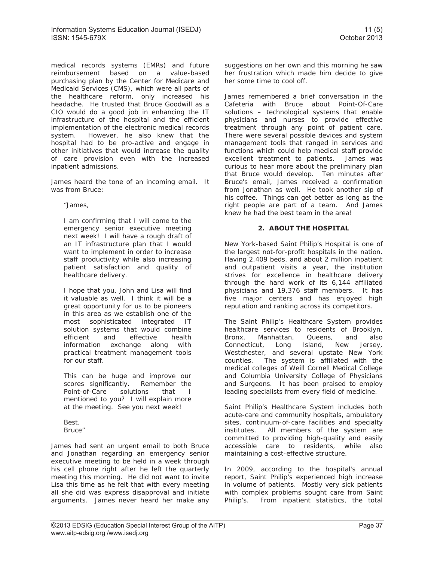medical records systems (EMRs) and future reimbursement based on a value-based purchasing plan by the Center for Medicare and Medicaid Services (CMS), which were all parts of the healthcare reform, only increased his headache. He trusted that Bruce Goodwill as a CIO would do a good job in enhancing the IT infrastructure of the hospital and the efficient implementation of the electronic medical records system. However, he also knew that the hospital had to be pro-active and engage in other initiatives that would increase the quality of care provision even with the increased inpatient admissions.

James heard the tone of an incoming email. It was from Bruce:

"James,

I am confirming that I will come to the emergency senior executive meeting next week! I will have a rough draft of an IT infrastructure plan that I would want to implement in order to increase staff productivity while also increasing patient satisfaction and quality of healthcare delivery.

I hope that you, John and Lisa will find it valuable as well. I think it will be a great opportunity for us to be pioneers in this area as we establish one of the most sophisticated integrated IT solution systems that would combine efficient and effective health information exchange along with practical treatment management tools for our staff.

This can be huge and improve our scores significantly. Remember the Point-of-Care solutions that I mentioned to you? I will explain more at the meeting. See you next week!

Best, Bruce"

James had sent an urgent email to both Bruce and Jonathan regarding an emergency senior executive meeting to be held in a week through his cell phone right after he left the quarterly meeting this morning. He did not want to invite Lisa this time as he felt that with every meeting all she did was express disapproval and initiate arguments. James never heard her make any suggestions on her own and this morning he saw her frustration which made him decide to give her some time to cool off.

James remembered a brief conversation in the Cafeteria with Bruce about Point-Of-Care solutions – technological systems that enable physicians and nurses to provide effective treatment through any point of patient care. There were several possible devices and system management tools that ranged in services and functions which could help medical staff provide excellent treatment to patients. James was curious to hear more about the preliminary plan that Bruce would develop. Ten minutes after Bruce's email, James received a confirmation from Jonathan as well. He took another sip of his coffee. Things can get better as long as the right people are part of a team. And James knew he had the best team in the area!

#### **2. ABOUT THE HOSPITAL**

New York-based Saint Philip's Hospital is one of the largest not-for-profit hospitals in the nation. Having 2,409 beds, and about 2 million inpatient and outpatient visits a year, the institution strives for excellence in healthcare delivery through the hard work of its 6,144 affiliated physicians and 19,376 staff members. It has five major centers and has enjoyed high reputation and ranking across its competitors.

The Saint Philip's Healthcare System provides healthcare services to residents of Brooklyn, Bronx, Manhattan, Queens, and also Connecticut, Long Island, New Jersey, Westchester, and several upstate New York counties. The system is affiliated with the medical colleges of Weill Cornell Medical College and Columbia University College of Physicians and Surgeons. It has been praised to employ leading specialists from every field of medicine.

Saint Philip's Healthcare System includes both acute-care and community hospitals, ambulatory sites, continuum-of-care facilities and specialty institutes. All members of the system are committed to providing high-quality and easily accessible care to residents, while also maintaining a cost-effective structure.

In 2009, according to the hospital's annual report, Saint Philip's experienced high increase in volume of patients. Mostly very sick patients with complex problems sought care from Saint Philip's. From inpatient statistics, the total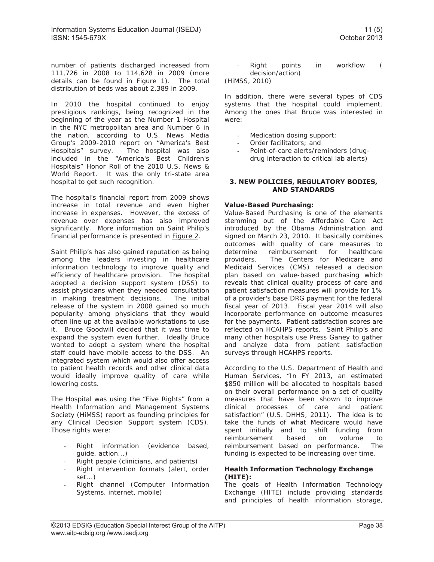number of patients discharged increased from 111,726 in 2008 to 114,628 in 2009 (more details can be found in **Figure 1**). The total distribution of beds was about 2,389 in 2009.

In 2010 the hospital continued to enjoy prestigious rankings, being recognized in the beginning of the year as the Number 1 Hospital in the NYC metropolitan area and Number 6 in the nation, according to U.S. News Media Group's 2009-2010 report on "America's Best Hospitals" survey. The hospital was also included in the "America's Best Children's Hospitals" Honor Roll of the 2010 U.S. News & World Report. It was the only tri-state area hospital to get such recognition.

The hospital's financial report from 2009 shows increase in total revenue and even higher increase in expenses. However, the excess of revenue over expenses has also improved significantly. More information on Saint Philip's financial performance is presented in Figure 2.

Saint Philip's has also gained reputation as being among the leaders investing in healthcare information technology to improve quality and efficiency of healthcare provision. The hospital adopted a decision support system (DSS) to assist physicians when they needed consultation in making treatment decisions. The initial release of the system in 2008 gained so much popularity among physicians that they would often line up at the available workstations to use it. Bruce Goodwill decided that it was time to expand the system even further. Ideally Bruce wanted to adopt a system where the hospital staff could have mobile access to the DSS. An integrated system which would also offer access to patient health records and other clinical data would ideally improve quality of care while lowering costs.

The Hospital was using the "Five Rights" from a Health Information and Management Systems Society (HiMSS) report as founding principles for any Clinical Decision Support system (CDS). Those rights were:

- Right information (evidence based, guide, action...)
- Right people (clinicians, and patients)
- Right intervention formats (alert, order set...)
- Right channel (Computer Information Systems, internet, mobile)

- Right points in workflow ( decision/action)

(HiMSS, 2010)

In addition, there were several types of CDS systems that the hospital could implement. Among the ones that Bruce was interested in were:

- Medication dosing support;
- Order facilitators; and
- Point-of-care alerts/reminders (drugdrug interaction to critical lab alerts)

#### **3. NEW POLICIES, REGULATORY BODIES, AND STANDARDS**

#### **Value-Based Purchasing:**

Value-Based Purchasing is one of the elements stemming out of the Affordable Care Act introduced by the Obama Administration and signed on March 23, 2010. It basically combines outcomes with quality of care measures to determine reimbursement for healthcare providers. The Centers for Medicare and Medicaid Services (CMS) released a decision plan based on value-based purchasing which reveals that clinical quality process of care and patient satisfaction measures will provide for 1% of a provider's base DRG payment for the federal fiscal year of 2013. Fiscal year 2014 will also incorporate performance on outcome measures for the payments. Patient satisfaction scores are reflected on HCAHPS reports. Saint Philip's and many other hospitals use Press Ganey to gather and analyze data from patient satisfaction surveys through HCAHPS reports.

According to the U.S. Department of Health and Human Services, "In FY 2013, an estimated \$850 million will be allocated to hospitals based on their overall performance on a set of quality measures that have been shown to improve clinical processes of care and patient satisfaction" (U.S. DHHS, 2011). The idea is to take the funds of what Medicare would have spent initially and to shift funding from reimbursement based on volume to reimbursement based on performance. The funding is expected to be increasing over time.

#### **Health Information Technology Exchange (HITE):**

The goals of Health Information Technology Exchange (HITE) include providing standards and principles of health information storage,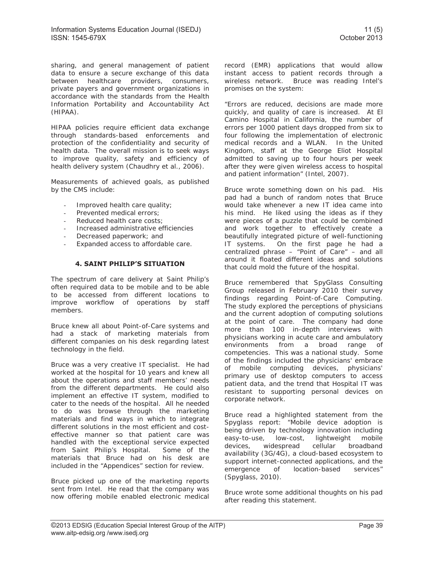sharing, and general management of patient data to ensure a secure exchange of this data between healthcare providers, consumers, private payers and government organizations in accordance with the standards from the Health Information Portability and Accountability Act (HIPAA).

HIPAA policies require efficient data exchange through standards-based enforcements and protection of the confidentiality and security of health data. The overall mission is to seek ways to improve quality, safety and efficiency of health delivery system (Chaudhry et al., 2006).

Measurements of achieved goals, as published by the CMS include:

- Improved health care quality;
- Prevented medical errors;
- Reduced health care costs;
- Increased administrative efficiencies
- Decreased paperwork; and
- Expanded access to affordable care.

#### **4. SAINT PHILIP'S SITUATION**

The spectrum of care delivery at Saint Philip's often required data to be mobile and to be able to be accessed from different locations to improve workflow of operations by staff members.

Bruce knew all about Point-of-Care systems and had a stack of marketing materials from different companies on his desk regarding latest technology in the field.

Bruce was a very creative IT specialist. He had worked at the hospital for 10 years and knew all about the operations and staff members' needs from the different departments. He could also implement an effective IT system, modified to cater to the needs of the hospital. All he needed to do was browse through the marketing materials and find ways in which to integrate different solutions in the most efficient and costeffective manner so that patient care was handled with the exceptional service expected from Saint Philip's Hospital. Some of the materials that Bruce had on his desk are included in the "Appendices" section for review.

Bruce picked up one of the marketing reports sent from Intel. He read that the company was now offering mobile enabled electronic medical record (EMR) applications that would allow instant access to patient records through a wireless network. Bruce was reading Intel's promises on the system:

"Errors are reduced, decisions are made more quickly, and quality of care is increased. At El Camino Hospital in California, the number of errors per 1000 patient days dropped from six to four following the implementation of electronic medical records and a WLAN. In the United Kingdom, staff at the George Eliot Hospital admitted to saving up to four hours per week after they were given wireless access to hospital and patient information" (Intel, 2007).

Bruce wrote something down on his pad. His pad had a bunch of random notes that Bruce would take whenever a new IT idea came into his mind. He liked using the ideas as if they were pieces of a puzzle that could be combined and work together to effectively create a beautifully integrated picture of well-functioning IT systems. On the first page he had a centralized phrase – "Point of Care" – and all around it floated different ideas and solutions that could mold the future of the hospital.

Bruce remembered that SpyGlass Consulting Group released in February 2010 their survey findings regarding Point-of-Care Computing. The study explored the perceptions of physicians and the current adoption of computing solutions at the point of care. The company had done more than 100 in-depth interviews with physicians working in acute care and ambulatory environments from a broad range of competencies. This was a national study. Some of the findings included the physicians' embrace of mobile computing devices, physicians' primary use of desktop computers to access patient data, and the trend that Hospital IT was resistant to supporting personal devices on corporate network.

Bruce read a highlighted statement from the Spyglass report: "Mobile device adoption is being driven by technology innovation including easy-to-use, low-cost, lightweight mobile devices, widespread cellular broadband availability (3G/4G), a cloud-based ecosystem to support internet-connected applications, and the emergence of location-based services" (Spyglass, 2010).

Bruce wrote some additional thoughts on his pad after reading this statement.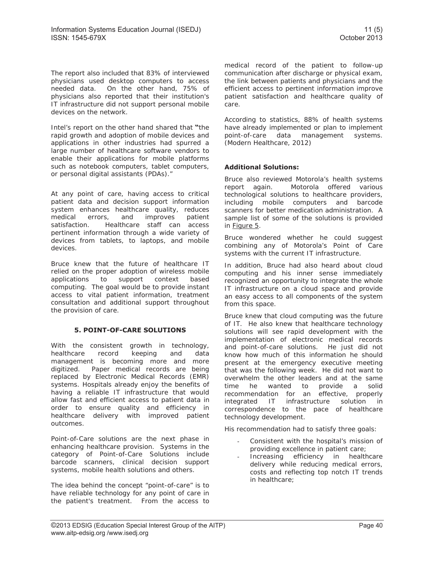The report also included that 83% of interviewed physicians used desktop computers to access needed data. On the other hand, 75% of physicians also reported that their institution's IT infrastructure did not support personal mobile devices on the network.

Intel's report on the other hand shared that **"**the rapid growth and adoption of mobile devices and applications in other industries had spurred a large number of healthcare software vendors to enable their applications for mobile platforms such as notebook computers, tablet computers, or personal digital assistants (PDAs)."

At any point of care, having access to critical patient data and decision support information system enhances healthcare quality, reduces medical errors, and improves patient satisfaction. Healthcare staff can access pertinent information through a wide variety of devices from tablets, to laptops, and mobile devices.

Bruce knew that the future of healthcare IT relied on the proper adoption of wireless mobile applications to support context based computing. The goal would be to provide instant access to vital patient information, treatment consultation and additional support throughout the provision of care.

#### **5. POINT-OF-CARE SOLUTIONS**

With the consistent growth in technology, healthcare record keeping and data management is becoming more and more digitized. Paper medical records are being replaced by Electronic Medical Records (EMR) systems. Hospitals already enjoy the benefits of having a reliable IT infrastructure that would allow fast and efficient access to patient data in order to ensure quality and efficiency in healthcare delivery with improved patient outcomes.

Point-of-Care solutions are the next phase in enhancing healthcare provision. Systems in the category of Point-of-Care Solutions include barcode scanners, clinical decision support systems, mobile health solutions and others.

The idea behind the concept "point-of-care" is to have reliable technology for any point of care in the patient's treatment. From the access to

medical record of the patient to follow-up communication after discharge or physical exam, the link between patients and physicians and the efficient access to pertinent information improve patient satisfaction and healthcare quality of care.

According to statistics, 88% of health systems have already implemented or plan to implement point-of-care data management systems. (Modern Healthcare, 2012)

#### **Additional Solutions:**

Bruce also reviewed Motorola's health systems report again. Motorola offered various technological solutions to healthcare providers, including mobile computers and barcode scanners for better medication administration. A sample list of some of the solutions is provided in Figure 5.

Bruce wondered whether he could suggest combining any of Motorola's Point of Care systems with the current IT infrastructure.

In addition, Bruce had also heard about cloud computing and his inner sense immediately recognized an opportunity to integrate the whole IT infrastructure on a cloud space and provide an easy access to all components of the system from this space.

Bruce knew that cloud computing was the future of IT. He also knew that healthcare technology solutions will see rapid development with the implementation of electronic medical records and point-of-care solutions. He just did not know how much of this information he should present at the emergency executive meeting that was the following week. He did not want to overwhelm the other leaders and at the same time he wanted to provide a solid recommendation for an effective, properly integrated IT infrastructure solution in correspondence to the pace of healthcare technology development.

His recommendation had to satisfy three goals:

- Consistent with the hospital's mission of providing excellence in patient care;
- Increasing efficiency in healthcare delivery while reducing medical errors, costs and reflecting top notch IT trends in healthcare;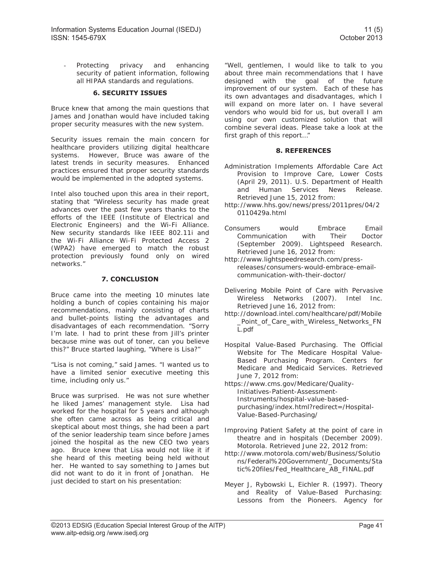Protecting privacy and enhancing security of patient information, following all HIPAA standards and regulations.

#### **6. SECURITY ISSUES**

Bruce knew that among the main questions that James and Jonathan would have included taking proper security measures with the new system.

Security issues remain the main concern for healthcare providers utilizing digital healthcare systems. However, Bruce was aware of the latest trends in security measures. Enhanced practices ensured that proper security standards would be implemented in the adopted systems.

Intel also touched upon this area in their report, stating that "Wireless security has made great advances over the past few years thanks to the efforts of the IEEE (Institute of Electrical and Electronic Engineers) and the Wi-Fi Alliance. New security standards like IEEE 802.11i and the Wi-Fi Alliance Wi-Fi Protected Access 2 (WPA2) have emerged to match the robust protection previously found only on wired networks."

#### **7. CONCLUSION**

Bruce came into the meeting 10 minutes late holding a bunch of copies containing his major recommendations, mainly consisting of charts and bullet-points listing the advantages and disadvantages of each recommendation. "Sorry I'm late. I had to print these from Jill's printer because mine was out of toner, can you believe this?" Bruce started laughing, "Where is Lisa?"

"Lisa is not coming," said James. "I wanted us to have a limited senior executive meeting this time, including only us."

Bruce was surprised. He was not sure whether he liked James' management style. Lisa had worked for the hospital for 5 years and although she often came across as being critical and skeptical about most things, she had been a part of the senior leadership team since before James joined the hospital as the new CEO two years ago. Bruce knew that Lisa would not like it if she heard of this meeting being held without her. He wanted to say something to James but did not want to do it in front of Jonathan. He just decided to start on his presentation:

"Well, gentlemen, I would like to talk to you about three main recommendations that I have designed with the goal of the future improvement of our system. Each of these has its own advantages and disadvantages, which I will expand on more later on. I have several vendors who would bid for us, but overall I am using our own customized solution that will combine several ideas. Please take a look at the first graph of this report…"

#### **8. REFERENCES**

- Administration Implements Affordable Care Act Provision to Improve Care, Lower Costs (April 29, 2011). U.S. Department of Health and Human Services News Release. Retrieved June 15, 2012 from:
- http://www.hhs.gov/news/press/2011pres/04/2 0110429a.html
- Consumers would Embrace Email Communication with Their Doctor (September 2009). Lightspeed Research. Retrieved June 16, 2012 from:
- http://www.lightspeedresearch.com/pressreleases/consumers-would-embrace-emailcommunication-with-their-doctor/
- Delivering Mobile Point of Care with Pervasive Wireless Networks (2007). Intel Inc. Retrieved June 16, 2012 from:
- http://download.intel.com/healthcare/pdf/Mobile \_Point\_of\_Care\_with\_Wireless\_Networks\_FN L.pdf
- Hospital Value-Based Purchasing. The Official Website for The Medicare Hospital Value-Based Purchasing Program. Centers for Medicare and Medicaid Services. Retrieved June 7, 2012 from:
- https://www.cms.gov/Medicare/Quality-Initiatives-Patient-Assessment-Instruments/hospital-value-basedpurchasing/index.html?redirect=/Hospital-Value-Based-Purchasing/
- Improving Patient Safety at the point of care in theatre and in hospitals (December 2009). Motorola. Retrieved June 22, 2012 from:
- http://www.motorola.com/web/Business/Solutio ns/Federal%20Government/\_Documents/Sta tic%20files/Fed\_Healthcare\_AB\_FINAL.pdf
- Meyer J, Rybowski L, Eichler R. (1997). Theory and Reality of Value-Based Purchasing: Lessons from the Pioneers. Agency for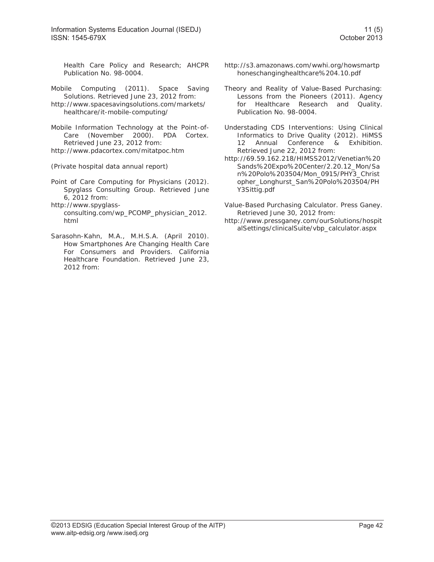Information Systems Education Journal (ISEDJ) 11 (5) 11 (5) ISSN: 1545-679X October 2013

Health Care Policy and Research; AHCPR Publication No. 98-0004.

- Mobile Computing (2011). Space Saving Solutions. Retrieved June 23, 2012 from:
- http://www.spacesavingsolutions.com/markets/ healthcare/it-mobile-computing/
- Mobile Information Technology at the Point-of-Care (November 2000). PDA Cortex. Retrieved June 23, 2012 from: http://www.pdacortex.com/mitatpoc.htm

(Private hospital data annual report)

- Point of Care Computing for Physicians (2012). Spyglass Consulting Group. Retrieved June 6, 2012 from:
- http://www.spyglassconsulting.com/wp\_PCOMP\_physician\_2012. html
- Sarasohn-Kahn, M.A., M.H.S.A. (April 2010). How Smartphones Are Changing Health Care For Consumers and Providers. California Healthcare Foundation. Retrieved June 23, 2012 from:
- http://s3.amazonaws.com/wwhi.org/howsmartp honeschanginghealthcare%204.10.pdf
- Theory and Reality of Value-Based Purchasing: Lessons from the Pioneers (2011). Agency for Healthcare Research and Quality. Publication No. 98-0004.
- Understading CDS Interventions: Using Clinical Informatics to Drive Quality (2012). HiMSS 12 Annual Conference & Exhibition. Retrieved June 22, 2012 from:
- http://69.59.162.218/HIMSS2012/Venetian%20 Sands%20Expo%20Center/2.20.12\_Mon/Sa n%20Polo%203504/Mon\_0915/PHY3\_Christ opher\_Longhurst\_San%20Polo%203504/PH Y3Sittig.pdf
- Value-Based Purchasing Calculator. Press Ganey. Retrieved June 30, 2012 from:
- http://www.pressganey.com/ourSolutions/hospit alSettings/clinicalSuite/vbp\_calculator.aspx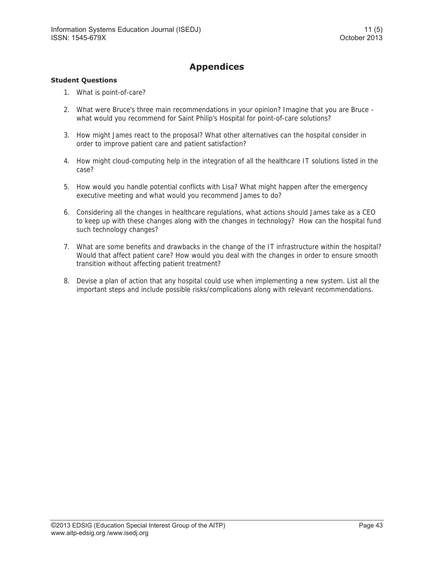## **Appendices**

#### **Student Questions**

- 1. What is point-of-care?
- 2. What were Bruce's three main recommendations in your opinion? Imagine that you are Bruce what would you recommend for Saint Philip's Hospital for point-of-care solutions?
- 3. How might James react to the proposal? What other alternatives can the hospital consider in order to improve patient care and patient satisfaction?
- 4. How might cloud-computing help in the integration of all the healthcare IT solutions listed in the case?
- 5. How would you handle potential conflicts with Lisa? What might happen after the emergency executive meeting and what would you recommend James to do?
- 6. Considering all the changes in healthcare regulations, what actions should James take as a CEO to keep up with these changes along with the changes in technology? How can the hospital fund such technology changes?
- 7. What are some benefits and drawbacks in the change of the IT infrastructure within the hospital? Would that affect patient care? How would you deal with the changes in order to ensure smooth transition without affecting patient treatment?
- 8. Devise a plan of action that any hospital could use when implementing a new system. List all the important steps and include possible risks/complications along with relevant recommendations.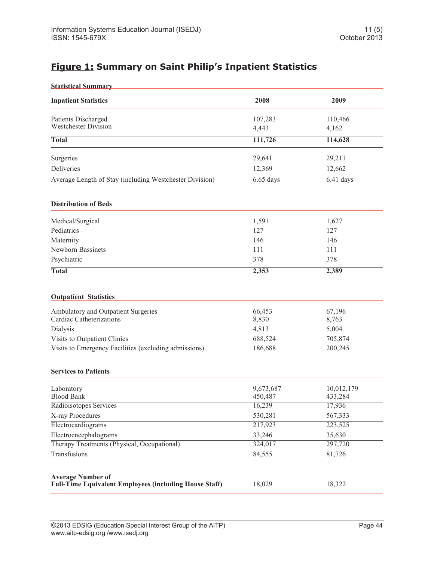## **Figure 1: Summary on Saint Philip's Inpatient Statistics**

| <b>Statistical Summary</b>                                                                |                      |                       |
|-------------------------------------------------------------------------------------------|----------------------|-----------------------|
| <b>Inpatient Statistics</b>                                                               | 2008                 | 2009                  |
| Patients Discharged                                                                       | 107,283              | 110,466               |
| <b>Westchester Division</b>                                                               | 4,443                | 4,162                 |
| <b>Total</b>                                                                              | 111,726              | 114,628               |
| Surgeries                                                                                 | 29,641               | 29,211                |
| Deliveries                                                                                | 12,369               | 12,662                |
| Average Length of Stay (including Westchester Division)                                   | $6.65$ days          | 6.41 days             |
| <b>Distribution of Beds</b>                                                               |                      |                       |
| Medical/Surgical                                                                          | 1,591                | 1,627                 |
| Pediatrics                                                                                | 127                  | 127                   |
| Maternity                                                                                 | 146                  | 146                   |
| Newborn Bassinets                                                                         | 111                  | 111                   |
| Psychiatric                                                                               | 378                  | 378                   |
| <b>Total</b>                                                                              | 2,353                | 2,389                 |
| <b>Outpatient Statistics</b>                                                              |                      |                       |
| Ambulatory and Outpatient Surgeries<br>Cardiac Catheterizations                           | 66,453<br>8,830      | 67,196                |
| Dialysis                                                                                  | 4,813                | 8,763<br>5,004        |
| Visits to Outpatient Clinics                                                              | 688,524              | 705,874               |
| Visits to Emergency Facilities (excluding admissions)                                     | 186,688              | 200,245               |
| <b>Services to Patients</b>                                                               |                      |                       |
| Laboratory<br><b>Blood Bank</b>                                                           | 9,673,687<br>450,487 | 10,012,179<br>433,284 |
| Radioisotopes Services                                                                    | 16,239               | 17,936                |
| X-ray Procedures                                                                          | 530,281              | 567,333               |
| Electrocardiograms                                                                        | 217,923              | 223,525               |
| Electroencephalograms                                                                     | 33,246               | 35,630                |
| Therapy Treatments (Physical, Occupational)                                               | 324,017              | 297,720               |
| Transfusions                                                                              | 84,555               | 81,726                |
| <b>Average Number of</b><br><b>Full-Time Equivalent Employees (including House Staff)</b> | 18,029               | 18,322                |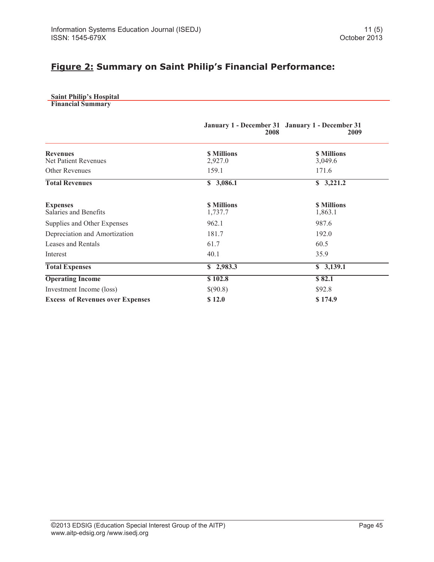### **Figure 2: Summary on Saint Philip's Financial Performance:**

|  | <b>Saint Philip's Hospital</b> |
|--|--------------------------------|
|  |                                |

|                                          | January 1 - December 31 January 1 - December 31<br>2008 | 2009                         |
|------------------------------------------|---------------------------------------------------------|------------------------------|
| <b>Revenues</b><br>Net Patient Revenues  | <b>S</b> Millions<br>2,927.0                            | <b>S</b> Millions<br>3,049.6 |
| <b>Other Revenues</b>                    | 159.1                                                   | 171.6                        |
| <b>Total Revenues</b>                    | \$3,086.1                                               | $\sqrt{3,221.2}$             |
| <b>Expenses</b><br>Salaries and Benefits | <b>S</b> Millions<br>1,737.7                            | <b>S</b> Millions<br>1,863.1 |
| Supplies and Other Expenses              | 962.1                                                   | 987.6                        |
| Depreciation and Amortization            | 181.7                                                   | 192.0                        |
| Leases and Rentals                       | 61.7                                                    | 60.5                         |
| Interest                                 | 40.1                                                    | 35.9                         |
| <b>Total Expenses</b>                    | \$2,983.3                                               | \$3,139.1                    |
| <b>Operating Income</b>                  | \$102.8                                                 | \$82.1                       |
| Investment Income (loss)                 | \$(90.8)                                                | \$92.8                       |
| <b>Excess of Revenues over Expenses</b>  | \$12.0                                                  | \$174.9                      |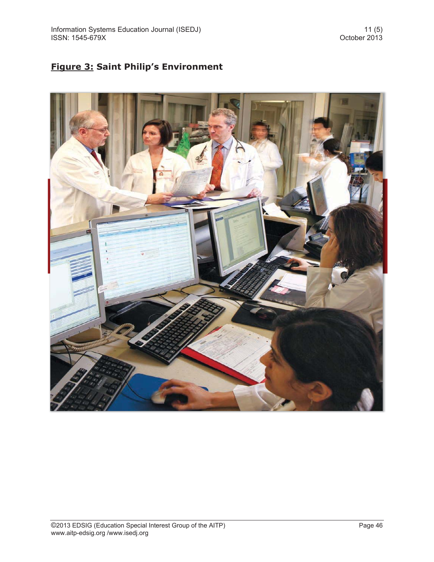# **Figure 3: Saint Philip's Environment**

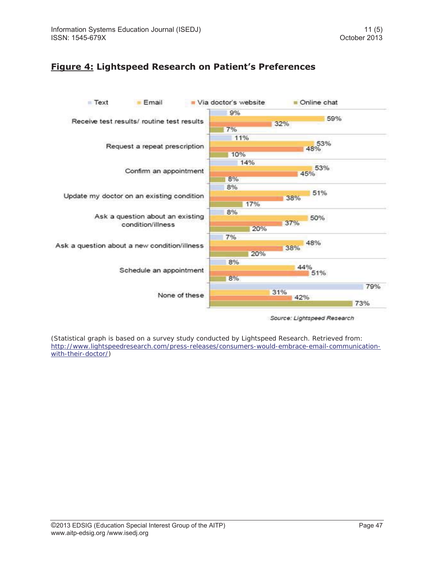### **Figure 4: Lightspeed Research on Patient's Preferences**



(Statistical graph is based on a survey study conducted by Lightspeed Research. Retrieved from: http://www.lightspeedresearch.com/press-releases/consumers-would-embrace-email-communicationwith-their-doctor/)